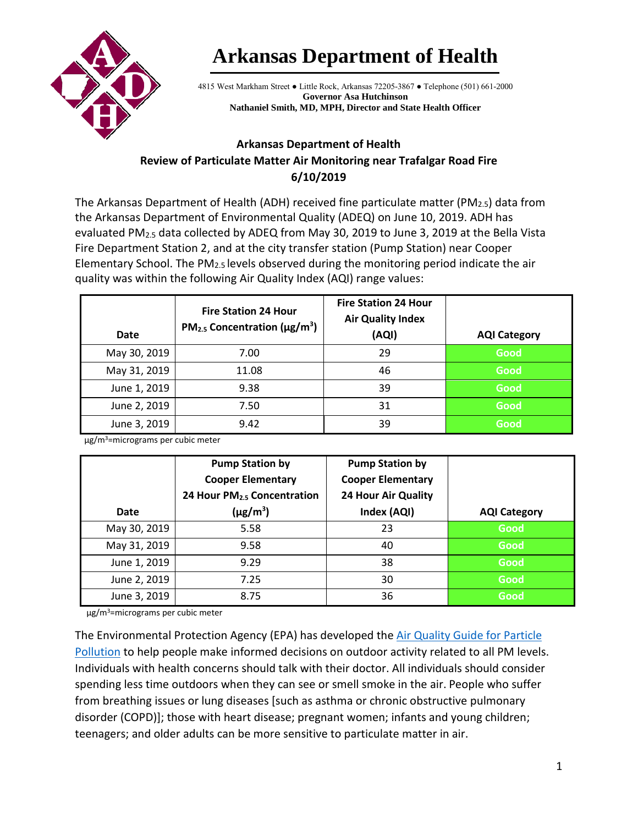

## **Arkansas Department of Health**

4815 West Markham Street ● Little Rock, Arkansas 72205-3867 ● Telephone (501) 661-2000 **Governor Asa Hutchinson Nathaniel Smith, MD, MPH, Director and State Health Officer**

## **Arkansas Department of Health Review of Particulate Matter Air Monitoring near Trafalgar Road Fire 6/10/2019**

The Arkansas Department of Health (ADH) received fine particulate matter (PM<sub>2.5</sub>) data from the Arkansas Department of Environmental Quality (ADEQ) on June 10, 2019. ADH has evaluated PM<sub>2.5</sub> data collected by ADEQ from May 30, 2019 to June 3, 2019 at the Bella Vista Fire Department Station 2, and at the city transfer station (Pump Station) near Cooper Elementary School. The  $PM<sub>2.5</sub>$  levels observed during the monitoring period indicate the air quality was within the following Air Quality Index (AQI) range values:

| Date         | <b>Fire Station 24 Hour</b><br>$PM2.5$ Concentration ( $\mu$ g/m <sup>3</sup> ) | <b>Fire Station 24 Hour</b><br><b>Air Quality Index</b><br>(AQI) | <b>AQI Category</b> |
|--------------|---------------------------------------------------------------------------------|------------------------------------------------------------------|---------------------|
| May 30, 2019 | 7.00                                                                            | 29                                                               | Good                |
| May 31, 2019 | 11.08                                                                           | 46                                                               | Good                |
| June 1, 2019 | 9.38                                                                            | 39                                                               | Good                |
| June 2, 2019 | 7.50                                                                            | 31                                                               | Good                |
| June 3, 2019 | 9.42                                                                            | 39                                                               | Good                |

µg/m3=micrograms per cubic meter

| Date         | <b>Pump Station by</b><br><b>Cooper Elementary</b><br>24 Hour PM <sub>2.5</sub> Concentration<br>$(\mu g/m^3)$ | <b>Pump Station by</b><br><b>Cooper Elementary</b><br><b>24 Hour Air Quality</b><br>Index (AQI) | <b>AQI Category</b> |
|--------------|----------------------------------------------------------------------------------------------------------------|-------------------------------------------------------------------------------------------------|---------------------|
| May 30, 2019 | 5.58                                                                                                           | 23                                                                                              | Good                |
| May 31, 2019 | 9.58                                                                                                           | 40                                                                                              | <b>Good</b>         |
| June 1, 2019 | 9.29                                                                                                           | 38                                                                                              | Good                |
| June 2, 2019 | 7.25                                                                                                           | 30                                                                                              | Good                |
| June 3, 2019 | 8.75                                                                                                           | 36                                                                                              | Good                |

µg/m3=micrograms per cubic meter

The Environmental Protection Agency (EPA) has developed the Air Quality Guide for Particle [Pollution](https://www.airnow.gov/index.cfm?action=pubs.aqguidepart) to help people make informed decisions on outdoor activity related to all PM levels. Individuals with health concerns should talk with their doctor. All individuals should consider spending less time outdoors when they can see or smell smoke in the air. People who suffer from breathing issues or lung diseases [such as asthma or chronic obstructive pulmonary disorder (COPD)]; those with heart disease; pregnant women; infants and young children; teenagers; and older adults can be more sensitive to particulate matter in air.